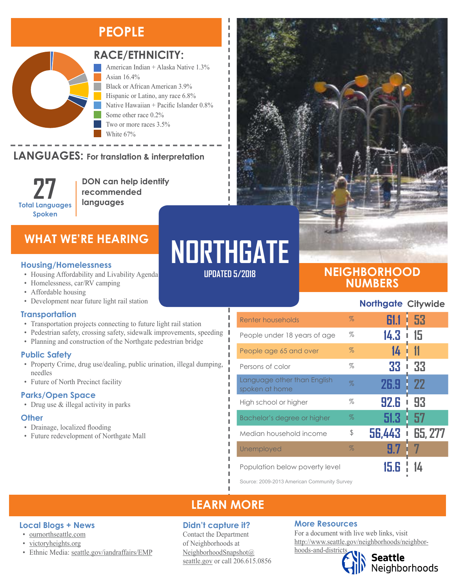## **PEOPLE**



#### **RACE/ETHNICITY:**

American Indian + Alaska Native 1.3% Asian 16.4% Black or African American 3.9% Hispanic or Latino, any race 6.8% Native Hawaiian + Pacific Islander 0.8% Some other race 0.2% Two or more races 3.5% White 67%

#### **LANGUAGES:** For translation & interpretation TANG-HAC

**27 Total Languages Spoken**

**DON can help identify recommended languages**

### **WHAT WE'RE HEARING**

- Housing Affordability and Livability Agenda
- Homelessness, car/RV camping
- Affordable housing
- Development near future light rail station

#### **Transportation**

- Transportation projects connecting to future light rail station
- Pedestrian safety, crossing safety, sidewalk improvements, speeding
- Planning and construction of the Northgate pedestrian bridge

#### **Public Safety**

- Property Crime, drug use/dealing, public urination, illegal dumping, needles
- Future of North Precinct facility

#### **Parks/Open Space**

• Drug use & illegal activity in parks

#### **Other**

- Drainage, localized flooding
- Future redevelopment of Northgate Mall



**UPDATED 5/2018**

I I л I

п л I

Л Л

### **NEIGHBORHOOD NUMBERS**

#### **Northgate Citywide**

| Renter households                             | $\%$ | 61.1   | i 53    |
|-----------------------------------------------|------|--------|---------|
| People under 18 years of age                  | $\%$ | 14.3   | 15      |
| People age 65 and over                        | $\%$ | 14     |         |
| Persons of color                              | %    | 33     | 33      |
| Language other than English<br>spoken at home | $\%$ | 26.9   | 22      |
| High school or higher                         | %    | 92.6   | 93      |
| Bachelor's degree or higher                   | $\%$ | 51.3   | 57      |
| Median household income                       | \$   | 56,443 | 65, 277 |
| Unemployed                                    | $\%$ | 9.7    |         |
| Population below poverty level                |      |        |         |

Source: 2009-2013 American Community Survey

### **LEARN MORE**

#### **Didn't capture it?**

Contact the Department of Neighborhoods at [NeighborhoodSnapshot@](mailto:NeighborhoodSnapshot%40%0Aseattle.gov?subject=) [seattle.gov](mailto:NeighborhoodSnapshot%40%0Aseattle.gov?subject=) or call 206.615.0856

#### **More Resources**

For a document with live web links, visit [http://www.seattle.gov/neighborhoods/neighbor](http://www.seattle.gov/neighborhoods/neighborhoods-and-districts)[hoods-and-districts](http://www.seattle.gov/neighborhoods/neighborhoods-and-districts)



Seattle<br>Neighborhoods

#### **Local Blogs + News**

- [ournorthseattle.com](http://ournorthseattle.com/)
- [victoryheights.org](http://victoryheights.org/)
- Ethnic Media: [seattle.gov/iandraffairs/EMP](http://www.seattle.gov/iandraffairs/EMP)